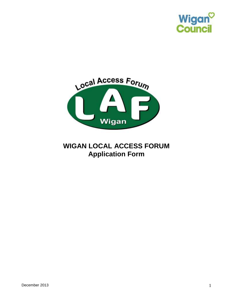



# **WIGAN LOCAL ACCESS FORUM Application Form**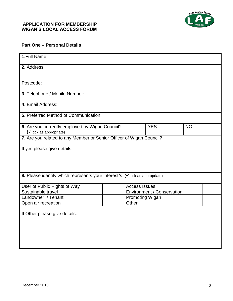#### **APPLICATION FOR MEMBERSHIP WIGAN'S LOCAL ACCESS FORUM**



### **Part One – Personal Details**

| 1. Full Name:                                                                                  |                      |                                   |           |  |
|------------------------------------------------------------------------------------------------|----------------------|-----------------------------------|-----------|--|
| 2. Address:                                                                                    |                      |                                   |           |  |
|                                                                                                |                      |                                   |           |  |
| Postcode:                                                                                      |                      |                                   |           |  |
| 3. Telephone / Mobile Number:                                                                  |                      |                                   |           |  |
| 4. Email Address:                                                                              |                      |                                   |           |  |
| 5. Preferred Method of Communication:                                                          |                      |                                   |           |  |
| 6. Are you currently employed by Wigan Council?<br>$(\checkmark)$ tick as appropriate)         |                      | <b>YES</b>                        | <b>NO</b> |  |
| 7. Are you related to any Member or Senior Officer of Wigan Council?                           |                      |                                   |           |  |
| If yes please give details:                                                                    |                      |                                   |           |  |
|                                                                                                |                      |                                   |           |  |
|                                                                                                |                      |                                   |           |  |
|                                                                                                |                      |                                   |           |  |
| <b>8.</b> Please identify which represents your interest/s $(\checkmark)$ tick as appropriate) |                      |                                   |           |  |
| User of Public Rights of Way                                                                   | <b>Access Issues</b> |                                   |           |  |
| Sustainable travel                                                                             |                      | <b>Environment / Conservation</b> |           |  |
| Landowner / Tenant                                                                             |                      | <b>Promoting Wigan</b>            |           |  |
| Open air recreation                                                                            | Other                |                                   |           |  |
|                                                                                                |                      |                                   |           |  |
| If Other please give details:                                                                  |                      |                                   |           |  |
|                                                                                                |                      |                                   |           |  |
|                                                                                                |                      |                                   |           |  |
|                                                                                                |                      |                                   |           |  |
|                                                                                                |                      |                                   |           |  |
|                                                                                                |                      |                                   |           |  |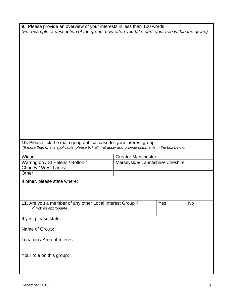| <b>9.</b> Please provide an overview of your interests in less than 100 words                  |
|------------------------------------------------------------------------------------------------|
| (For example: a description of the group, how often you take part, your role within the group) |

### **10.** Please tick the main geographical base for your interest group *(If more than one is applicable, please tick all that apply and provide comments in the box below)*

| Wigan                                                     | <b>Greater Manchester</b>        |           |
|-----------------------------------------------------------|----------------------------------|-----------|
| Warrington / St Helens / Bolton /<br>Chorley / West Lancs | Merseyside/ Lancashire/ Cheshire |           |
| Other                                                     |                                  |           |
| If other, please state where:                             |                                  |           |
|                                                           |                                  |           |
|                                                           |                                  |           |
| 11. Are you a member of any other Local Interest Group?   | Yes                              | <b>No</b> |
| $(\checkmark)$ tick as appropriate)                       |                                  |           |
|                                                           |                                  |           |
| If yes, please state:                                     |                                  |           |
| Name of Group:                                            |                                  |           |
|                                                           |                                  |           |
| Location / Area of Interest:                              |                                  |           |
|                                                           |                                  |           |
| Your role on this group:                                  |                                  |           |
|                                                           |                                  |           |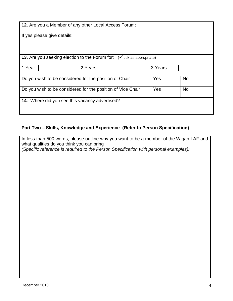| 12. Are you a Member of any other Local Access Forum:                                     |         |           |
|-------------------------------------------------------------------------------------------|---------|-----------|
| If yes please give details:                                                               |         |           |
|                                                                                           |         |           |
| <b>13.</b> Are you seeking election to the Forum for: $(\checkmark)$ tick as appropriate) |         |           |
|                                                                                           |         |           |
| 1 Year<br>2 Years                                                                         | 3 Years |           |
| Do you wish to be considered for the position of Chair                                    | Yes     | <b>No</b> |
| Do you wish to be considered for the position of Vice Chair                               | Yes     | <b>No</b> |
| 14. Where did you see this vacancy advertised?                                            |         |           |
|                                                                                           |         |           |

# **Part Two – Skills, Knowledge and Experience (Refer to Person Specification)**

| In less than 500 words, please outline why you want to be a member of the Wigan LAF and<br>what qualities do you think you can bring |
|--------------------------------------------------------------------------------------------------------------------------------------|
| (Specific reference is required to the Person Specification with personal examples):                                                 |
|                                                                                                                                      |
|                                                                                                                                      |
|                                                                                                                                      |
|                                                                                                                                      |
|                                                                                                                                      |
|                                                                                                                                      |
|                                                                                                                                      |
|                                                                                                                                      |
|                                                                                                                                      |
|                                                                                                                                      |